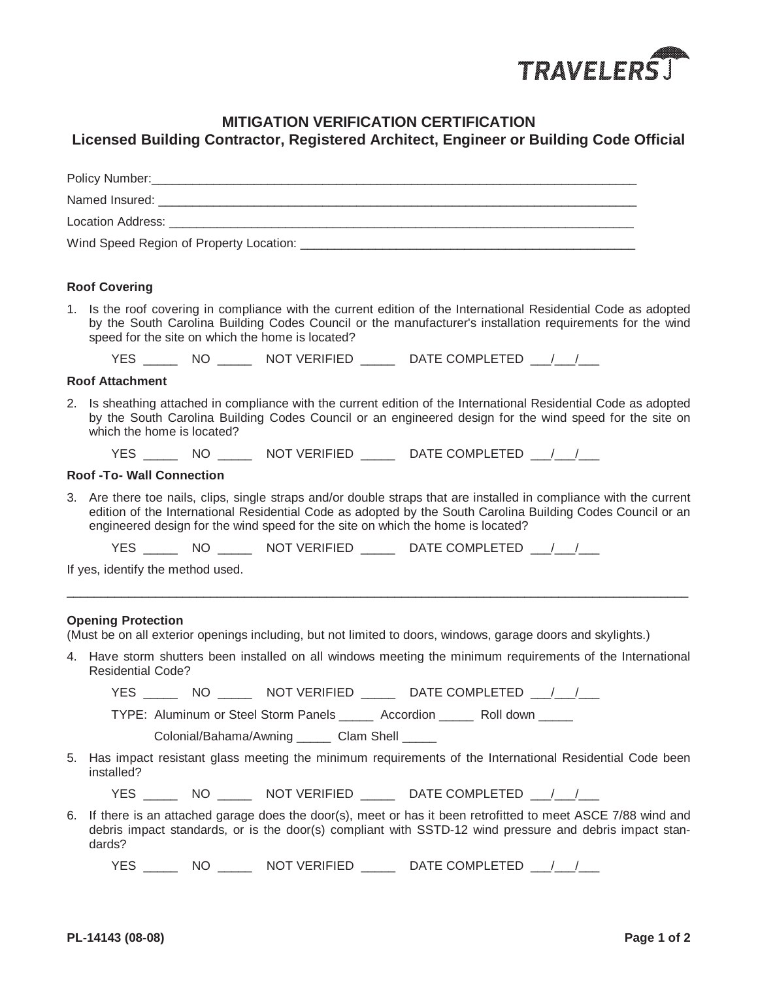

## **MITIGATION VERIFICATION CERTIFICATION**

## **Licensed Building Contractor, Registered Architect, Engineer or Building Code Official**

|    | <b>Roof Covering</b>                                                                                                                                                                                                                                                                                                  |  |  |  |
|----|-----------------------------------------------------------------------------------------------------------------------------------------------------------------------------------------------------------------------------------------------------------------------------------------------------------------------|--|--|--|
|    | 1. Is the roof covering in compliance with the current edition of the International Residential Code as adopted<br>by the South Carolina Building Codes Council or the manufacturer's installation requirements for the wind<br>speed for the site on which the home is located?                                      |  |  |  |
|    |                                                                                                                                                                                                                                                                                                                       |  |  |  |
|    | <b>Roof Attachment</b>                                                                                                                                                                                                                                                                                                |  |  |  |
|    | 2. Is sheathing attached in compliance with the current edition of the International Residential Code as adopted<br>by the South Carolina Building Codes Council or an engineered design for the wind speed for the site on<br>which the home is located?                                                             |  |  |  |
|    | YES _______ NO _______ NOT VERIFIED _______ DATE COMPLETED ___/___/___                                                                                                                                                                                                                                                |  |  |  |
|    | <b>Roof -To- Wall Connection</b>                                                                                                                                                                                                                                                                                      |  |  |  |
|    | 3. Are there toe nails, clips, single straps and/or double straps that are installed in compliance with the current<br>edition of the International Residential Code as adopted by the South Carolina Building Codes Council or an<br>engineered design for the wind speed for the site on which the home is located? |  |  |  |
|    |                                                                                                                                                                                                                                                                                                                       |  |  |  |
|    | If yes, identify the method used.                                                                                                                                                                                                                                                                                     |  |  |  |
|    | <b>Opening Protection</b><br>(Must be on all exterior openings including, but not limited to doors, windows, garage doors and skylights.)<br>4. Have storm shutters been installed on all windows meeting the minimum requirements of the International<br><b>Residential Code?</b>                                   |  |  |  |
|    | YES ________ NO ________ NOT VERIFIED ________ DATE COMPLETED ____/___/___                                                                                                                                                                                                                                            |  |  |  |
|    | TYPE: Aluminum or Steel Storm Panels _______ Accordion _______ Roll down ______                                                                                                                                                                                                                                       |  |  |  |
|    | Colonial/Bahama/Awning ______ Clam Shell _____                                                                                                                                                                                                                                                                        |  |  |  |
| 5. | Has impact resistant glass meeting the minimum requirements of the International Residential Code been<br>installed?                                                                                                                                                                                                  |  |  |  |
|    | YES ________ NO ________ NOT VERIFIED ________ DATE COMPLETED ___/___/___                                                                                                                                                                                                                                             |  |  |  |
| 6. | If there is an attached garage does the door(s), meet or has it been retrofitted to meet ASCE 7/88 wind and<br>debris impact standards, or is the door(s) compliant with SSTD-12 wind pressure and debris impact stan-<br>dards?                                                                                      |  |  |  |
|    | YES ________ NO ________ NOT VERIFIED ________ DATE COMPLETED ___/___/____                                                                                                                                                                                                                                            |  |  |  |